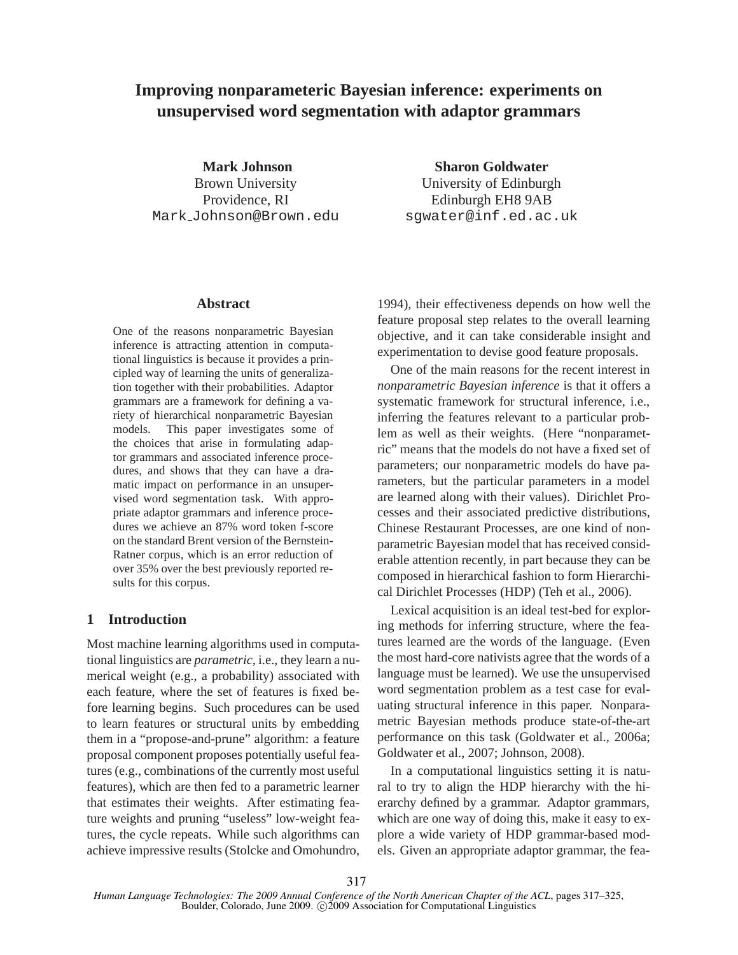# **Improving nonparameteric Bayesian inference: experiments on unsupervised word segmentation with adaptor grammars**

**Mark Johnson** Brown University Providence, RI Mark Johnson@Brown.edu

#### **Abstract**

One of the reasons nonparametric Bayesian inference is attracting attention in computational linguistics is because it provides a principled way of learning the units of generalization together with their probabilities. Adaptor grammars are a framework for defining a variety of hierarchical nonparametric Bayesian models. This paper investigates some of the choices that arise in formulating adaptor grammars and associated inference procedures, and shows that they can have a dramatic impact on performance in an unsupervised word segmentation task. With appropriate adaptor grammars and inference procedures we achieve an 87% word token f-score on the standard Brent version of the Bernstein-Ratner corpus, which is an error reduction of over 35% over the best previously reported results for this corpus.

# **1 Introduction**

Most machine learning algorithms used in computational linguistics are *parametric*, i.e., they learn a numerical weight (e.g., a probability) associated with each feature, where the set of features is fixed before learning begins. Such procedures can be used to learn features or structural units by embedding them in a "propose-and-prune" algorithm: a feature proposal component proposes potentially useful features (e.g., combinations of the currently most useful features), which are then fed to a parametric learner that estimates their weights. After estimating feature weights and pruning "useless" low-weight features, the cycle repeats. While such algorithms can achieve impressive results (Stolcke and Omohundro,

**Sharon Goldwater** University of Edinburgh Edinburgh EH8 9AB sgwater@inf.ed.ac.uk

1994), their effectiveness depends on how well the feature proposal step relates to the overall learning objective, and it can take considerable insight and experimentation to devise good feature proposals.

One of the main reasons for the recent interest in *nonparametric Bayesian inference* is that it offers a systematic framework for structural inference, i.e., inferring the features relevant to a particular problem as well as their weights. (Here "nonparametric" means that the models do not have a fixed set of parameters; our nonparametric models do have parameters, but the particular parameters in a model are learned along with their values). Dirichlet Processes and their associated predictive distributions, Chinese Restaurant Processes, are one kind of nonparametric Bayesian model that has received considerable attention recently, in part because they can be composed in hierarchical fashion to form Hierarchical Dirichlet Processes (HDP) (Teh et al., 2006).

Lexical acquisition is an ideal test-bed for exploring methods for inferring structure, where the features learned are the words of the language. (Even the most hard-core nativists agree that the words of a language must be learned). We use the unsupervised word segmentation problem as a test case for evaluating structural inference in this paper. Nonparametric Bayesian methods produce state-of-the-art performance on this task (Goldwater et al., 2006a; Goldwater et al., 2007; Johnson, 2008).

In a computational linguistics setting it is natural to try to align the HDP hierarchy with the hierarchy defined by a grammar. Adaptor grammars, which are one way of doing this, make it easy to explore a wide variety of HDP grammar-based models. Given an appropriate adaptor grammar, the fea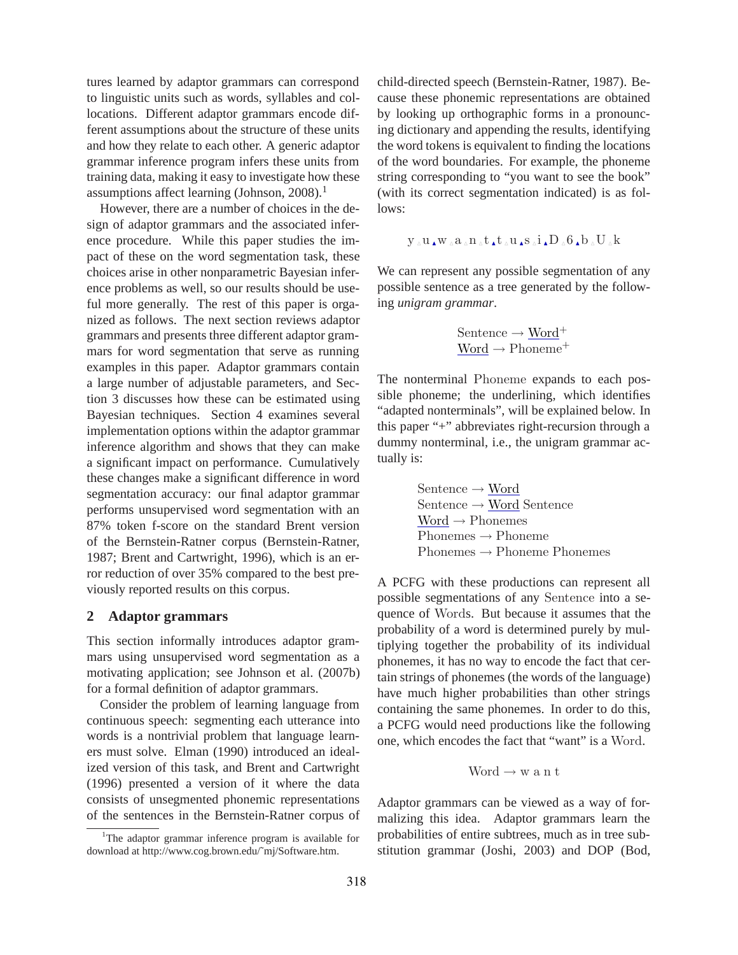tures learned by adaptor grammars can correspond to linguistic units such as words, syllables and collocations. Different adaptor grammars encode different assumptions about the structure of these units and how they relate to each other. A generic adaptor grammar inference program infers these units from training data, making it easy to investigate how these assumptions affect learning (Johnson, 2008).<sup>1</sup>

However, there are a number of choices in the design of adaptor grammars and the associated inference procedure. While this paper studies the impact of these on the word segmentation task, these choices arise in other nonparametric Bayesian inference problems as well, so our results should be useful more generally. The rest of this paper is organized as follows. The next section reviews adaptor grammars and presents three different adaptor grammars for word segmentation that serve as running examples in this paper. Adaptor grammars contain a large number of adjustable parameters, and Section 3 discusses how these can be estimated using Bayesian techniques. Section 4 examines several implementation options within the adaptor grammar inference algorithm and shows that they can make a significant impact on performance. Cumulatively these changes make a significant difference in word segmentation accuracy: our final adaptor grammar performs unsupervised word segmentation with an 87% token f-score on the standard Brent version of the Bernstein-Ratner corpus (Bernstein-Ratner, 1987; Brent and Cartwright, 1996), which is an error reduction of over 35% compared to the best previously reported results on this corpus.

### **2 Adaptor grammars**

This section informally introduces adaptor grammars using unsupervised word segmentation as a motivating application; see Johnson et al. (2007b) for a formal definition of adaptor grammars.

Consider the problem of learning language from continuous speech: segmenting each utterance into words is a nontrivial problem that language learners must solve. Elman (1990) introduced an idealized version of this task, and Brent and Cartwright (1996) presented a version of it where the data consists of unsegmented phonemic representations of the sentences in the Bernstein-Ratner corpus of child-directed speech (Bernstein-Ratner, 1987). Because these phonemic representations are obtained by looking up orthographic forms in a pronouncing dictionary and appending the results, identifying the word tokens is equivalent to finding the locations of the word boundaries. For example, the phoneme string corresponding to "you want to see the book" (with its correct segmentation indicated) is as follows:

$$
y\mathbin{\lrcorner} u\mathbin{\lrcorner} w\mathbin{\lrcorner} a\mathbin{\lrcorner} n\mathbin{\lrcorner} t\mathbin{\lrcorner} u\mathbin{\lrcorner} s\mathbin{\lrcorner} i\mathbin{\lrcorner} D\mathbin{\lrcorner} 6\mathbin{\lrcorner} b\mathbin{\lrcorner} U\mathbin{\lrcorner} k
$$

We can represent any possible segmentation of any possible sentence as a tree generated by the following *unigram grammar*.

$$
\frac{\text{Sentence} \rightarrow \text{Word}^+}{\text{Word} \rightarrow \text{Phoneme}^+}
$$

The nonterminal Phoneme expands to each possible phoneme; the underlining, which identifies "adapted nonterminals", will be explained below. In this paper "+" abbreviates right-recursion through a dummy nonterminal, i.e., the unigram grammar actually is:

$$
\begin{aligned}\n\text{Sentence} &\rightarrow \underline{\text{Word}} \\
\text{Sentence} &\rightarrow \underline{\text{Word}} \\
\text{Nonemes} &\rightarrow \text{Phoneme} \\
\text{Phonemes} &\rightarrow \text{Phoneme} \\
\text{Phonemes} &\rightarrow \text{Phoneme} \\
\end{aligned}
$$

A PCFG with these productions can represent all possible segmentations of any Sentence into a sequence of Words. But because it assumes that the probability of a word is determined purely by multiplying together the probability of its individual phonemes, it has no way to encode the fact that certain strings of phonemes (the words of the language) have much higher probabilities than other strings containing the same phonemes. In order to do this, a PCFG would need productions like the following one, which encodes the fact that "want" is a Word.

$$
Word \rightarrow w \text{ a n t}
$$

Adaptor grammars can be viewed as a way of formalizing this idea. Adaptor grammars learn the probabilities of entire subtrees, much as in tree substitution grammar (Joshi, 2003) and DOP (Bod,

<sup>&</sup>lt;sup>1</sup>The adaptor grammar inference program is available for download at http://www.cog.brown.edu/˜mj/Software.htm.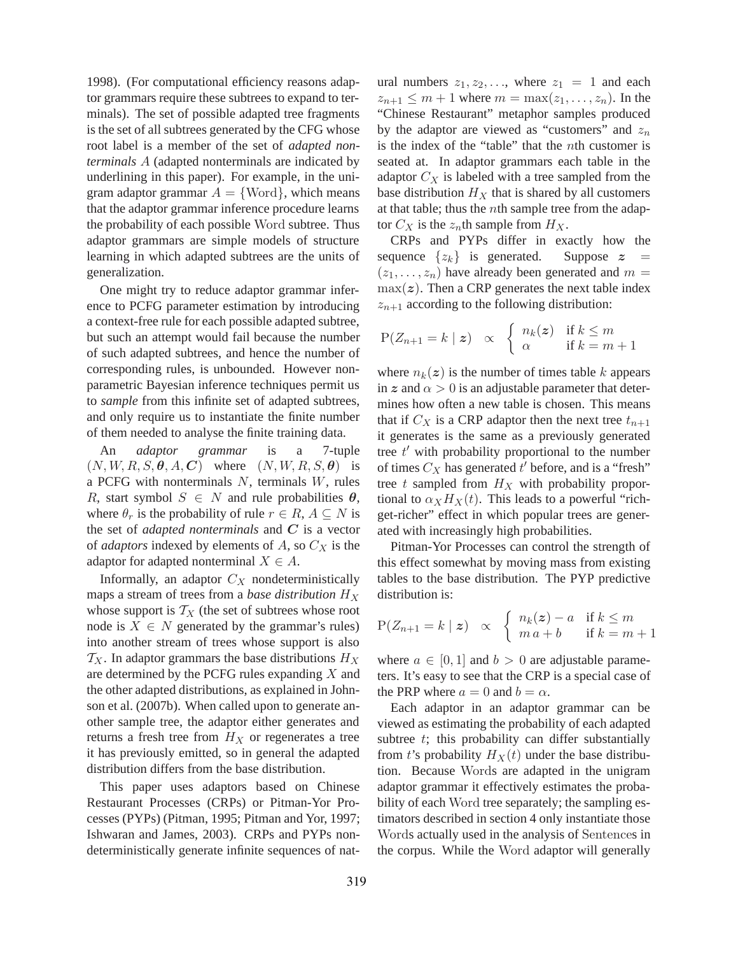1998). (For computational efficiency reasons adaptor grammars require these subtrees to expand to terminals). The set of possible adapted tree fragments is the set of all subtrees generated by the CFG whose root label is a member of the set of *adapted nonterminals* A (adapted nonterminals are indicated by underlining in this paper). For example, in the unigram adaptor grammar  $A = \{Word\}$ , which means that the adaptor grammar inference procedure learns the probability of each possible Word subtree. Thus adaptor grammars are simple models of structure learning in which adapted subtrees are the units of generalization.

One might try to reduce adaptor grammar inference to PCFG parameter estimation by introducing a context-free rule for each possible adapted subtree, but such an attempt would fail because the number of such adapted subtrees, and hence the number of corresponding rules, is unbounded. However nonparametric Bayesian inference techniques permit us to *sample* from this infinite set of adapted subtrees, and only require us to instantiate the finite number of them needed to analyse the finite training data.

An *adaptor grammar* is a 7-tuple  $(N, W, R, S, \theta, A, C)$  where  $(N, W, R, S, \theta)$  is a PCFG with nonterminals  $N$ , terminals  $W$ , rules R, start symbol  $S \in N$  and rule probabilities  $\theta$ , where  $\theta_r$  is the probability of rule  $r \in R$ ,  $A \subseteq N$  is the set of *adapted nonterminals* and C is a vector of *adaptors* indexed by elements of  $A$ , so  $C_X$  is the adaptor for adapted nonterminal  $X \in A$ .

Informally, an adaptor  $C_X$  nondeterministically maps a stream of trees from a *base distribution*  $H_X$ whose support is  $T_X$  (the set of subtrees whose root node is  $X \in N$  generated by the grammar's rules) into another stream of trees whose support is also  $T_X$ . In adaptor grammars the base distributions  $H_X$ are determined by the PCFG rules expanding X and the other adapted distributions, as explained in Johnson et al. (2007b). When called upon to generate another sample tree, the adaptor either generates and returns a fresh tree from  $H_X$  or regenerates a tree it has previously emitted, so in general the adapted distribution differs from the base distribution.

This paper uses adaptors based on Chinese Restaurant Processes (CRPs) or Pitman-Yor Processes (PYPs) (Pitman, 1995; Pitman and Yor, 1997; Ishwaran and James, 2003). CRPs and PYPs nondeterministically generate infinite sequences of natural numbers  $z_1, z_2, \ldots$ , where  $z_1 = 1$  and each  $z_{n+1} \leq m+1$  where  $m = \max(z_1, ..., z_n)$ . In the "Chinese Restaurant" metaphor samples produced by the adaptor are viewed as "customers" and  $z_n$ is the index of the "table" that the nth customer is seated at. In adaptor grammars each table in the adaptor  $C_X$  is labeled with a tree sampled from the base distribution  $H_X$  that is shared by all customers at that table; thus the  $n$ th sample tree from the adaptor  $C_X$  is the  $z_n$ th sample from  $H_X$ .

CRPs and PYPs differ in exactly how the sequence  $\{z_k\}$  is generated. Suppose  $z =$  $(z_1, \ldots, z_n)$  have already been generated and  $m =$  $\max(z)$ . Then a CRP generates the next table index  $z_{n+1}$  according to the following distribution:

$$
P(Z_{n+1} = k \mid z) \propto \begin{cases} n_k(z) & \text{if } k \leq m \\ \alpha & \text{if } k = m+1 \end{cases}
$$

where  $n_k(z)$  is the number of times table k appears in z and  $\alpha > 0$  is an adjustable parameter that determines how often a new table is chosen. This means that if  $C_X$  is a CRP adaptor then the next tree  $t_{n+1}$ it generates is the same as a previously generated tree  $t'$  with probability proportional to the number of times  $C_X$  has generated  $t'$  before, and is a "fresh" tree  $t$  sampled from  $H_X$  with probability proportional to  $\alpha_X H_X(t)$ . This leads to a powerful "richget-richer" effect in which popular trees are generated with increasingly high probabilities.

Pitman-Yor Processes can control the strength of this effect somewhat by moving mass from existing tables to the base distribution. The PYP predictive distribution is:

$$
P(Z_{n+1} = k \mid z) \propto \begin{cases} n_k(z) - a & \text{if } k \leq m \\ m a + b & \text{if } k = m+1 \end{cases}
$$

where  $a \in [0, 1]$  and  $b > 0$  are adjustable parameters. It's easy to see that the CRP is a special case of the PRP where  $a = 0$  and  $b = \alpha$ .

Each adaptor in an adaptor grammar can be viewed as estimating the probability of each adapted subtree  $t$ ; this probability can differ substantially from t's probability  $H_X(t)$  under the base distribution. Because Words are adapted in the unigram adaptor grammar it effectively estimates the probability of each Word tree separately; the sampling estimators described in section 4 only instantiate those Words actually used in the analysis of Sentences in the corpus. While the Word adaptor will generally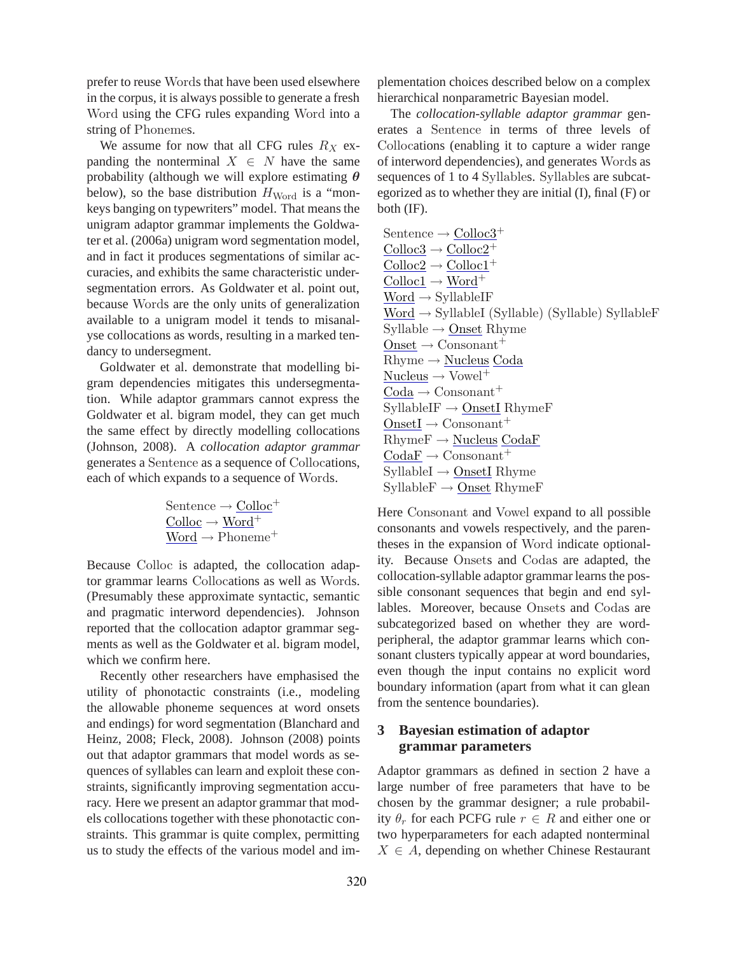prefer to reuse Words that have been used elsewhere in the corpus, it is always possible to generate a fresh Word using the CFG rules expanding Word into a string of Phonemes.

We assume for now that all CFG rules  $R_X$  expanding the nonterminal  $X \in N$  have the same probability (although we will explore estimating  $\theta$ below), so the base distribution  $H_{\text{Word}}$  is a "monkeys banging on typewriters" model. That means the unigram adaptor grammar implements the Goldwater et al. (2006a) unigram word segmentation model, and in fact it produces segmentations of similar accuracies, and exhibits the same characteristic undersegmentation errors. As Goldwater et al. point out, because Words are the only units of generalization available to a unigram model it tends to misanalyse collocations as words, resulting in a marked tendancy to undersegment.

Goldwater et al. demonstrate that modelling bigram dependencies mitigates this undersegmentation. While adaptor grammars cannot express the Goldwater et al. bigram model, they can get much the same effect by directly modelling collocations (Johnson, 2008). A *collocation adaptor grammar* generates a Sentence as a sequence of Collocations, each of which expands to a sequence of Words.

$$
\begin{array}{c}\n\text{Sentence} \rightarrow \underline{\text{Colloc}}^+\\
\underline{\text{Colloc}} \rightarrow \underline{\text{Word}}^+\\
\underline{\text{Word}} \rightarrow \text{Phoneme}^+\n\end{array}
$$

Because Colloc is adapted, the collocation adaptor grammar learns Collocations as well as Words. (Presumably these approximate syntactic, semantic and pragmatic interword dependencies). Johnson reported that the collocation adaptor grammar segments as well as the Goldwater et al. bigram model, which we confirm here.

Recently other researchers have emphasised the utility of phonotactic constraints (i.e., modeling the allowable phoneme sequences at word onsets and endings) for word segmentation (Blanchard and Heinz, 2008; Fleck, 2008). Johnson (2008) points out that adaptor grammars that model words as sequences of syllables can learn and exploit these constraints, significantly improving segmentation accuracy. Here we present an adaptor grammar that models collocations together with these phonotactic constraints. This grammar is quite complex, permitting us to study the effects of the various model and implementation choices described below on a complex hierarchical nonparametric Bayesian model.

The *collocation-syllable adaptor grammar* generates a Sentence in terms of three levels of Collocations (enabling it to capture a wider range of interword dependencies), and generates Words as sequences of 1 to 4 Syllables. Syllables are subcategorized as to whether they are initial (I), final (F) or both (IF).

Sentence  $\rightarrow$  Colloc3<sup>+</sup>  $\text{Colloc}3 \to \text{Colloc}2^+$  $\text{Colloc}2 \rightarrow \text{Colloc}1^+$  $Colloc1 \rightarrow Word^+$  $Word \rightarrow SyllableIF$  $Word \rightarrow SyllableI (Syllable) (Syllable) SyllableF$  $Syllable \rightarrow Onset Rhyme$  $Onset \rightarrow Consonant^+$  $Rhyme \rightarrow Nucleus Coda$  $Nucleus \rightarrow Vowel^+$  $\text{Coda} \rightarrow \text{Consonant}^+$  $SyllableIF \rightarrow$  OnsetI RhymeF  $OnsetI \rightarrow Consonant^+$  $RhymeF \rightarrow Nucleus CodaF$  $\mathrm{CodeF} \rightarrow \mathrm{Consonant}^+$  $SyllableI \rightarrow OnsetI Rhyme$  $SyllableF \rightarrow Onset RhymeF$ 

Here Consonant and Vowel expand to all possible consonants and vowels respectively, and the parentheses in the expansion of Word indicate optionality. Because Onsets and Codas are adapted, the collocation-syllable adaptor grammar learns the possible consonant sequences that begin and end syllables. Moreover, because Onsets and Codas are subcategorized based on whether they are wordperipheral, the adaptor grammar learns which consonant clusters typically appear at word boundaries, even though the input contains no explicit word boundary information (apart from what it can glean from the sentence boundaries).

# **3 Bayesian estimation of adaptor grammar parameters**

Adaptor grammars as defined in section 2 have a large number of free parameters that have to be chosen by the grammar designer; a rule probability  $\theta_r$  for each PCFG rule  $r \in R$  and either one or two hyperparameters for each adapted nonterminal  $X \in A$ , depending on whether Chinese Restaurant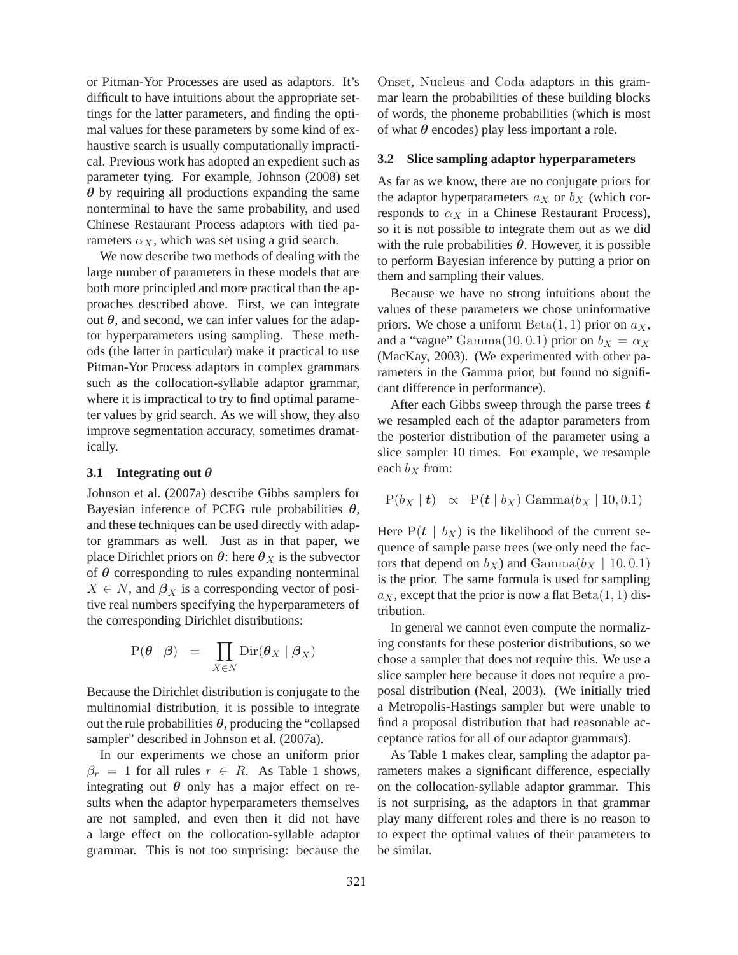or Pitman-Yor Processes are used as adaptors. It's difficult to have intuitions about the appropriate settings for the latter parameters, and finding the optimal values for these parameters by some kind of exhaustive search is usually computationally impractical. Previous work has adopted an expedient such as parameter tying. For example, Johnson (2008) set  $\theta$  by requiring all productions expanding the same nonterminal to have the same probability, and used Chinese Restaurant Process adaptors with tied parameters  $\alpha_X$ , which was set using a grid search.

We now describe two methods of dealing with the large number of parameters in these models that are both more principled and more practical than the approaches described above. First, we can integrate out  $θ$ , and second, we can infer values for the adaptor hyperparameters using sampling. These methods (the latter in particular) make it practical to use Pitman-Yor Process adaptors in complex grammars such as the collocation-syllable adaptor grammar, where it is impractical to try to find optimal parameter values by grid search. As we will show, they also improve segmentation accuracy, sometimes dramatically.

#### **3.1 Integrating out** θ

Johnson et al. (2007a) describe Gibbs samplers for Bayesian inference of PCFG rule probabilities  $\theta$ , and these techniques can be used directly with adaptor grammars as well. Just as in that paper, we place Dirichlet priors on  $\theta$ : here  $\theta_X$  is the subvector of  $\theta$  corresponding to rules expanding nonterminal  $X \in N$ , and  $\beta_X$  is a corresponding vector of positive real numbers specifying the hyperparameters of the corresponding Dirichlet distributions:

$$
P(\boldsymbol{\theta} \mid \boldsymbol{\beta}) = \prod_{X \in N} \text{Dir}(\boldsymbol{\theta}_X \mid \boldsymbol{\beta}_X)
$$

Because the Dirichlet distribution is conjugate to the multinomial distribution, it is possible to integrate out the rule probabilities  $\theta$ , producing the "collapsed" sampler" described in Johnson et al. (2007a).

In our experiments we chose an uniform prior  $\beta_r = 1$  for all rules  $r \in R$ . As Table 1 shows, integrating out  $\theta$  only has a major effect on results when the adaptor hyperparameters themselves are not sampled, and even then it did not have a large effect on the collocation-syllable adaptor grammar. This is not too surprising: because the

Onset, Nucleus and Coda adaptors in this grammar learn the probabilities of these building blocks of words, the phoneme probabilities (which is most of what  $\theta$  encodes) play less important a role.

# **3.2 Slice sampling adaptor hyperparameters**

As far as we know, there are no conjugate priors for the adaptor hyperparameters  $a_X$  or  $b_X$  (which corresponds to  $\alpha_X$  in a Chinese Restaurant Process), so it is not possible to integrate them out as we did with the rule probabilities  $\theta$ . However, it is possible to perform Bayesian inference by putting a prior on them and sampling their values.

Because we have no strong intuitions about the values of these parameters we chose uninformative priors. We chose a uniform  $Beta(1, 1)$  prior on  $a_X$ , and a "vague" Gamma $(10, 0.1)$  prior on  $b_X = \alpha_X$ (MacKay, 2003). (We experimented with other parameters in the Gamma prior, but found no significant difference in performance).

After each Gibbs sweep through the parse trees  $t$ we resampled each of the adaptor parameters from the posterior distribution of the parameter using a slice sampler 10 times. For example, we resample each  $b_X$  from:

$$
P(b_X | t) \propto P(t | b_X) \text{ Gamma}(b_X | 10, 0.1)
$$

Here  $P(t \mid b_X)$  is the likelihood of the current sequence of sample parse trees (we only need the factors that depend on  $b_X$ ) and  $Gamma(b_X | 10, 0.1)$ is the prior. The same formula is used for sampling  $a_X$ , except that the prior is now a flat  $Beta(1, 1)$  distribution.

In general we cannot even compute the normalizing constants for these posterior distributions, so we chose a sampler that does not require this. We use a slice sampler here because it does not require a proposal distribution (Neal, 2003). (We initially tried a Metropolis-Hastings sampler but were unable to find a proposal distribution that had reasonable acceptance ratios for all of our adaptor grammars).

As Table 1 makes clear, sampling the adaptor parameters makes a significant difference, especially on the collocation-syllable adaptor grammar. This is not surprising, as the adaptors in that grammar play many different roles and there is no reason to to expect the optimal values of their parameters to be similar.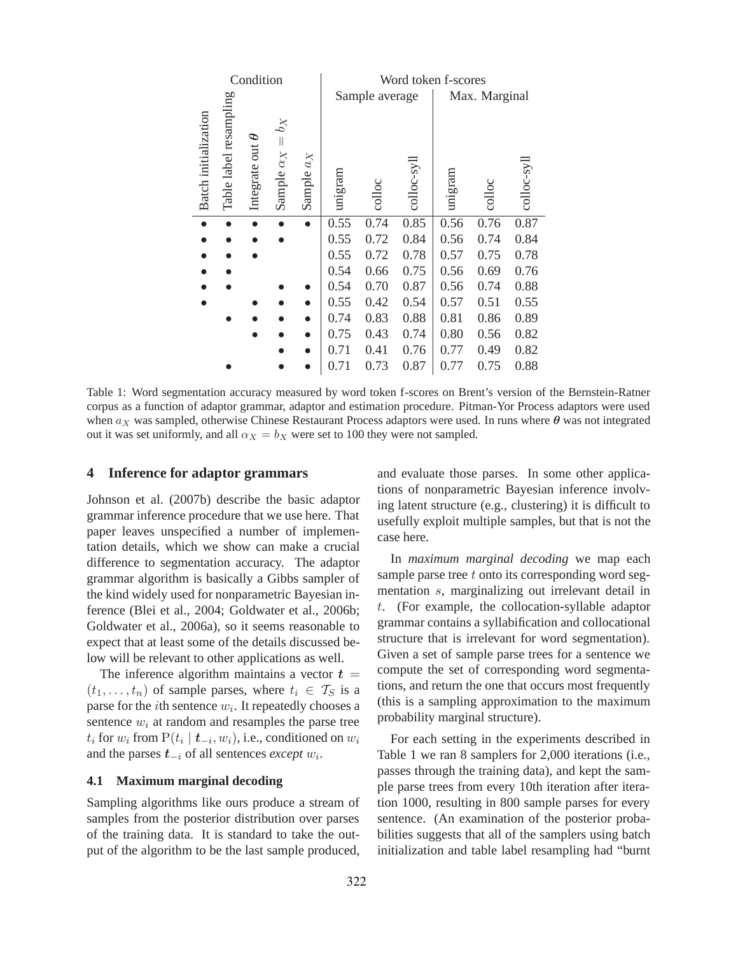| Condition            |                        |                                         |                                            |                | Word token f-scores |                 |               |         |        |            |
|----------------------|------------------------|-----------------------------------------|--------------------------------------------|----------------|---------------------|-----------------|---------------|---------|--------|------------|
|                      |                        |                                         |                                            | Sample average |                     |                 | Max. Marginal |         |        |            |
| Batch initialization | Table label resampling | P<br>$\overline{\text{u}}$<br>Integrate | $b_X$<br>$\vert\vert$<br>Sample $\alpha_X$ | Sample $a_X$   | unigram             | $_{\rm colloc}$ | colloc-syll   | unigram | colloc | colloc-syl |
| $\bullet$            |                        |                                         |                                            |                | 0.55                | 0.74            | 0.85          | 0.56    | 0.76   | 0.87       |
|                      |                        |                                         |                                            |                | 0.55                | 0.72            | 0.84          | 0.56    | 0.74   | 0.84       |
|                      |                        |                                         |                                            |                | 0.55                | 0.72            | 0.78          | 0.57    | 0.75   | 0.78       |
|                      |                        |                                         |                                            |                | 0.54                | 0.66            | 0.75          | 0.56    | 0.69   | 0.76       |
|                      |                        |                                         |                                            |                | 0.54                | 0.70            | 0.87          | 0.56    | 0.74   | 0.88       |
|                      |                        |                                         |                                            |                | 0.55                | 0.42            | 0.54          | 0.57    | 0.51   | 0.55       |
|                      |                        |                                         |                                            |                | 0.74                | 0.83            | 0.88          | 0.81    | 0.86   | 0.89       |
|                      |                        |                                         |                                            |                | 0.75                | 0.43            | 0.74          | 0.80    | 0.56   | 0.82       |
|                      |                        |                                         |                                            |                | 0.71                | 0.41            | 0.76          | 0.77    | 0.49   | 0.82       |
|                      |                        |                                         |                                            |                | 0.71                | 0.73            | 0.87          | 0.77    | 0.75   | 0.88       |

Table 1: Word segmentation accuracy measured by word token f-scores on Brent's version of the Bernstein-Ratner corpus as a function of adaptor grammar, adaptor and estimation procedure. Pitman-Yor Process adaptors were used when  $a_X$  was sampled, otherwise Chinese Restaurant Process adaptors were used. In runs where  $\theta$  was not integrated out it was set uniformly, and all  $\alpha_X = b_X$  were set to 100 they were not sampled.

#### **4 Inference for adaptor grammars**

Johnson et al. (2007b) describe the basic adaptor grammar inference procedure that we use here. That paper leaves unspecified a number of implementation details, which we show can make a crucial difference to segmentation accuracy. The adaptor grammar algorithm is basically a Gibbs sampler of the kind widely used for nonparametric Bayesian inference (Blei et al., 2004; Goldwater et al., 2006b; Goldwater et al., 2006a), so it seems reasonable to expect that at least some of the details discussed below will be relevant to other applications as well.

The inference algorithm maintains a vector  $t =$  $(t_1, \ldots, t_n)$  of sample parses, where  $t_i \in \mathcal{T}_S$  is a parse for the *i*th sentence  $w_i$ . It repeatedly chooses a sentence  $w_i$  at random and resamples the parse tree  $t_i$  for  $w_i$  from  $P(t_i | t_{-i}, w_i)$ , i.e., conditioned on  $w_i$ and the parses t−<sup>i</sup> of all sentences *except* w<sup>i</sup> .

# **4.1 Maximum marginal decoding**

Sampling algorithms like ours produce a stream of samples from the posterior distribution over parses of the training data. It is standard to take the output of the algorithm to be the last sample produced, and evaluate those parses. In some other applications of nonparametric Bayesian inference involving latent structure (e.g., clustering) it is difficult to usefully exploit multiple samples, but that is not the case here.

In *maximum marginal decoding* we map each sample parse tree  $t$  onto its corresponding word segmentation s, marginalizing out irrelevant detail in t. (For example, the collocation-syllable adaptor grammar contains a syllabification and collocational structure that is irrelevant for word segmentation). Given a set of sample parse trees for a sentence we compute the set of corresponding word segmentations, and return the one that occurs most frequently (this is a sampling approximation to the maximum probability marginal structure).

For each setting in the experiments described in Table 1 we ran 8 samplers for 2,000 iterations (i.e., passes through the training data), and kept the sample parse trees from every 10th iteration after iteration 1000, resulting in 800 sample parses for every sentence. (An examination of the posterior probabilities suggests that all of the samplers using batch initialization and table label resampling had "burnt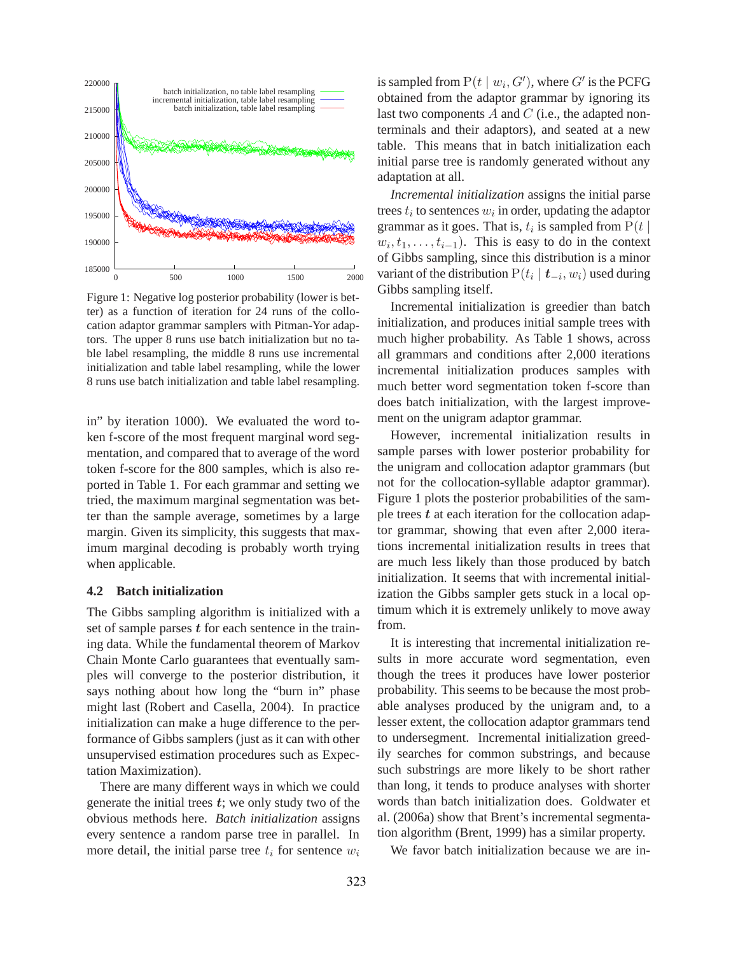

Figure 1: Negative log posterior probability (lower is better) as a function of iteration for 24 runs of the collocation adaptor grammar samplers with Pitman-Yor adaptors. The upper 8 runs use batch initialization but no table label resampling, the middle 8 runs use incremental initialization and table label resampling, while the lower 8 runs use batch initialization and table label resampling.

in" by iteration 1000). We evaluated the word token f-score of the most frequent marginal word segmentation, and compared that to average of the word token f-score for the 800 samples, which is also reported in Table 1. For each grammar and setting we tried, the maximum marginal segmentation was better than the sample average, sometimes by a large margin. Given its simplicity, this suggests that maximum marginal decoding is probably worth trying when applicable.

#### **4.2 Batch initialization**

The Gibbs sampling algorithm is initialized with a set of sample parses  $t$  for each sentence in the training data. While the fundamental theorem of Markov Chain Monte Carlo guarantees that eventually samples will converge to the posterior distribution, it says nothing about how long the "burn in" phase might last (Robert and Casella, 2004). In practice initialization can make a huge difference to the performance of Gibbs samplers (just as it can with other unsupervised estimation procedures such as Expectation Maximization).

There are many different ways in which we could generate the initial trees  $t$ ; we only study two of the obvious methods here. *Batch initialization* assigns every sentence a random parse tree in parallel. In more detail, the initial parse tree  $t_i$  for sentence  $w_i$ 

is sampled from  $P(t | w_i, G')$ , where  $G'$  is the PCFG obtained from the adaptor grammar by ignoring its last two components  $A$  and  $C$  (i.e., the adapted nonterminals and their adaptors), and seated at a new table. This means that in batch initialization each initial parse tree is randomly generated without any adaptation at all.

*Incremental initialization* assigns the initial parse trees  $t_i$  to sentences  $w_i$  in order, updating the adaptor grammar as it goes. That is,  $t_i$  is sampled from  $P(t |$  $w_i, t_1, \ldots, t_{i-1}$ ). This is easy to do in the context of Gibbs sampling, since this distribution is a minor variant of the distribution  $P(t_i | t_{-i}, w_i)$  used during Gibbs sampling itself.

Incremental initialization is greedier than batch initialization, and produces initial sample trees with much higher probability. As Table 1 shows, across all grammars and conditions after 2,000 iterations incremental initialization produces samples with much better word segmentation token f-score than does batch initialization, with the largest improvement on the unigram adaptor grammar.

However, incremental initialization results in sample parses with lower posterior probability for the unigram and collocation adaptor grammars (but not for the collocation-syllable adaptor grammar). Figure 1 plots the posterior probabilities of the sample trees  $t$  at each iteration for the collocation adaptor grammar, showing that even after 2,000 iterations incremental initialization results in trees that are much less likely than those produced by batch initialization. It seems that with incremental initialization the Gibbs sampler gets stuck in a local optimum which it is extremely unlikely to move away from.

It is interesting that incremental initialization results in more accurate word segmentation, even though the trees it produces have lower posterior probability. This seems to be because the most probable analyses produced by the unigram and, to a lesser extent, the collocation adaptor grammars tend to undersegment. Incremental initialization greedily searches for common substrings, and because such substrings are more likely to be short rather than long, it tends to produce analyses with shorter words than batch initialization does. Goldwater et al. (2006a) show that Brent's incremental segmentation algorithm (Brent, 1999) has a similar property.

We favor batch initialization because we are in-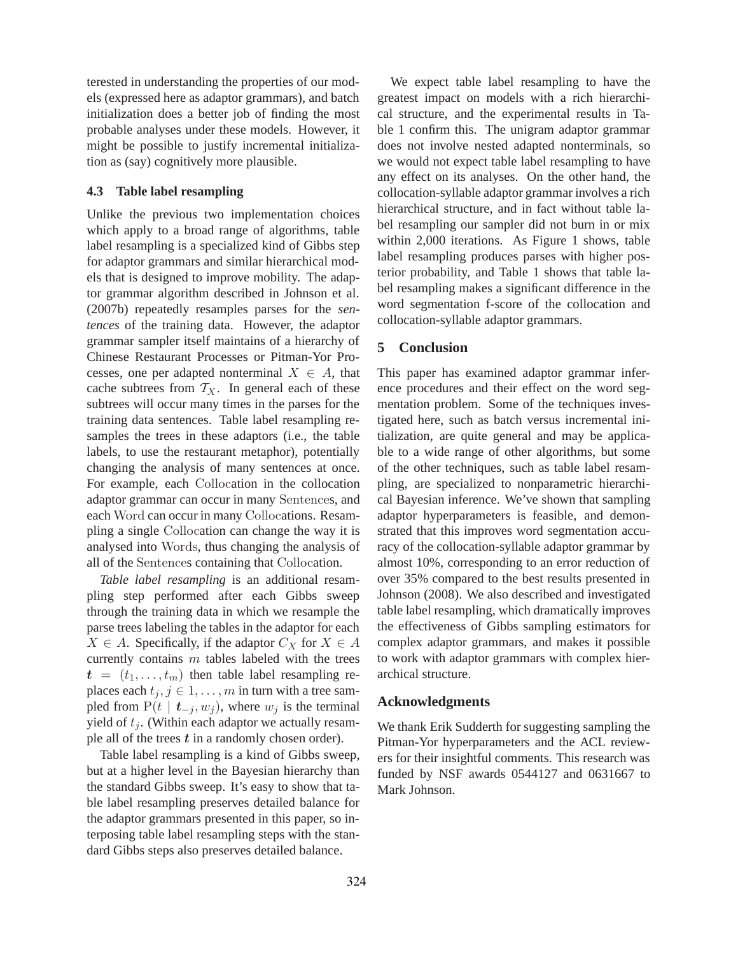terested in understanding the properties of our models (expressed here as adaptor grammars), and batch initialization does a better job of finding the most probable analyses under these models. However, it might be possible to justify incremental initialization as (say) cognitively more plausible.

# **4.3 Table label resampling**

Unlike the previous two implementation choices which apply to a broad range of algorithms, table label resampling is a specialized kind of Gibbs step for adaptor grammars and similar hierarchical models that is designed to improve mobility. The adaptor grammar algorithm described in Johnson et al. (2007b) repeatedly resamples parses for the *sentences* of the training data. However, the adaptor grammar sampler itself maintains of a hierarchy of Chinese Restaurant Processes or Pitman-Yor Processes, one per adapted nonterminal  $X \in A$ , that cache subtrees from  $T_X$ . In general each of these subtrees will occur many times in the parses for the training data sentences. Table label resampling resamples the trees in these adaptors (i.e., the table labels, to use the restaurant metaphor), potentially changing the analysis of many sentences at once. For example, each Collocation in the collocation adaptor grammar can occur in many Sentences, and each Word can occur in many Collocations. Resampling a single Collocation can change the way it is analysed into Words, thus changing the analysis of all of the Sentences containing that Collocation.

*Table label resampling* is an additional resampling step performed after each Gibbs sweep through the training data in which we resample the parse trees labeling the tables in the adaptor for each  $X \in A$ . Specifically, if the adaptor  $C_X$  for  $X \in A$ currently contains  $m$  tables labeled with the trees  $t = (t_1, \ldots, t_m)$  then table label resampling replaces each  $t_j$ ,  $j \in 1, \ldots, m$  in turn with a tree sampled from  $P(t | t_{-i}, w_i)$ , where  $w_i$  is the terminal yield of  $t_i$ . (Within each adaptor we actually resample all of the trees  $t$  in a randomly chosen order).

Table label resampling is a kind of Gibbs sweep, but at a higher level in the Bayesian hierarchy than the standard Gibbs sweep. It's easy to show that table label resampling preserves detailed balance for the adaptor grammars presented in this paper, so interposing table label resampling steps with the standard Gibbs steps also preserves detailed balance.

We expect table label resampling to have the greatest impact on models with a rich hierarchical structure, and the experimental results in Table 1 confirm this. The unigram adaptor grammar does not involve nested adapted nonterminals, so we would not expect table label resampling to have any effect on its analyses. On the other hand, the collocation-syllable adaptor grammar involves a rich hierarchical structure, and in fact without table label resampling our sampler did not burn in or mix within 2,000 iterations. As Figure 1 shows, table label resampling produces parses with higher posterior probability, and Table 1 shows that table label resampling makes a significant difference in the word segmentation f-score of the collocation and collocation-syllable adaptor grammars.

# **5 Conclusion**

This paper has examined adaptor grammar inference procedures and their effect on the word segmentation problem. Some of the techniques investigated here, such as batch versus incremental initialization, are quite general and may be applicable to a wide range of other algorithms, but some of the other techniques, such as table label resampling, are specialized to nonparametric hierarchical Bayesian inference. We've shown that sampling adaptor hyperparameters is feasible, and demonstrated that this improves word segmentation accuracy of the collocation-syllable adaptor grammar by almost 10%, corresponding to an error reduction of over 35% compared to the best results presented in Johnson (2008). We also described and investigated table label resampling, which dramatically improves the effectiveness of Gibbs sampling estimators for complex adaptor grammars, and makes it possible to work with adaptor grammars with complex hierarchical structure.

# **Acknowledgments**

We thank Erik Sudderth for suggesting sampling the Pitman-Yor hyperparameters and the ACL reviewers for their insightful comments. This research was funded by NSF awards 0544127 and 0631667 to Mark Johnson.